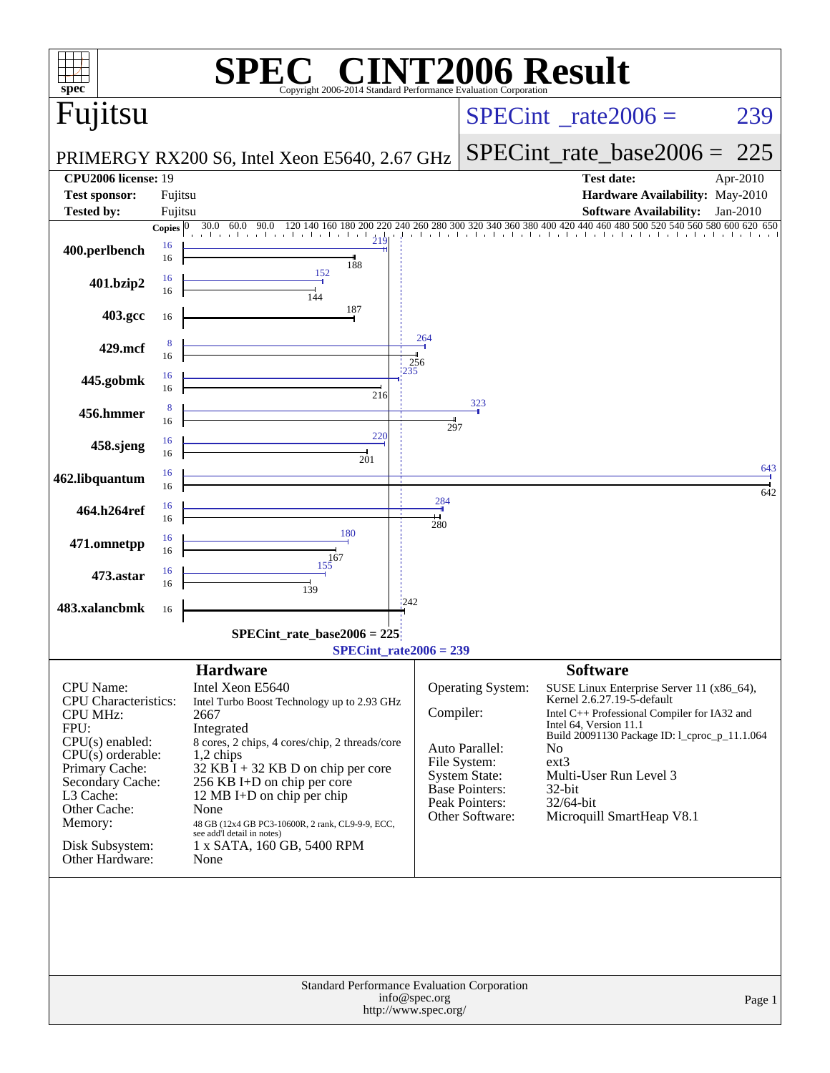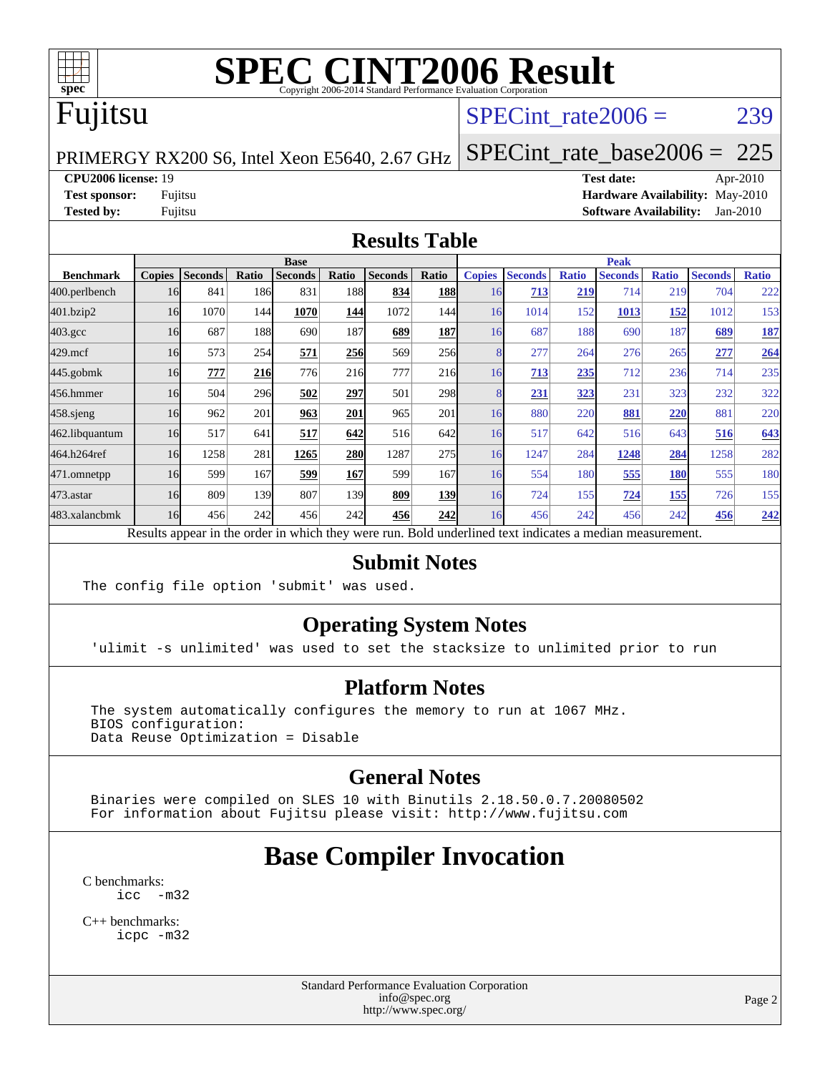

## Fujitsu

#### SPECint rate $2006 = 239$

PRIMERGY RX200 S6, Intel Xeon E5640, 2.67 GHz

[SPECint\\_rate\\_base2006 =](http://www.spec.org/auto/cpu2006/Docs/result-fields.html#SPECintratebase2006) 225

**[CPU2006 license:](http://www.spec.org/auto/cpu2006/Docs/result-fields.html#CPU2006license)** 19 **[Test date:](http://www.spec.org/auto/cpu2006/Docs/result-fields.html#Testdate)** Apr-2010 **[Test sponsor:](http://www.spec.org/auto/cpu2006/Docs/result-fields.html#Testsponsor)** Fujitsu **[Hardware Availability:](http://www.spec.org/auto/cpu2006/Docs/result-fields.html#HardwareAvailability)** May-2010 **[Tested by:](http://www.spec.org/auto/cpu2006/Docs/result-fields.html#Testedby)** Fujitsu **[Software Availability:](http://www.spec.org/auto/cpu2006/Docs/result-fields.html#SoftwareAvailability)** Jan-2010

#### **[Results Table](http://www.spec.org/auto/cpu2006/Docs/result-fields.html#ResultsTable)**

|                  | <b>Base</b>   |                |       |                |       |                                                                                                          |            | <b>Peak</b>   |                |              |                |              |                |              |
|------------------|---------------|----------------|-------|----------------|-------|----------------------------------------------------------------------------------------------------------|------------|---------------|----------------|--------------|----------------|--------------|----------------|--------------|
| <b>Benchmark</b> | <b>Copies</b> | <b>Seconds</b> | Ratio | <b>Seconds</b> | Ratio | <b>Seconds</b>                                                                                           | Ratio      | <b>Copies</b> | <b>Seconds</b> | <b>Ratio</b> | <b>Seconds</b> | <b>Ratio</b> | <b>Seconds</b> | <b>Ratio</b> |
| 400.perlbench    | 16            | 841            | 186   | 831            | 188   | 834                                                                                                      | 188        | 16            | 713            | 219          | 714            | 219          | 704            | 222          |
| 401.bzip2        | 16            | 1070           | 144   | 1070           | 144   | 1072                                                                                                     | 144        | 16            | 1014           | 152          | 1013           | 152          | 1012           | 153          |
| $403.\text{gcc}$ | 16            | 687            | 188   | 690            | 187   | 689                                                                                                      | <u>187</u> | 16            | 687            | 188          | 690            | 187          | 689            | <u>187</u>   |
| $429$ .mcf       | 16            | 573            | 254   | 571            | 256   | 569                                                                                                      | 256        |               | 277            | 264          | 276            | 265          | 277            | 264          |
| $445$ .gobm $k$  | 16            | 777            | 216   | 776            | 216   | 777                                                                                                      | 216        | 16            | 713            | 235          | 712            | 236          | 714            | 235          |
| 456.hmmer        | 16            | 504            | 296   | 502            | 297   | 501                                                                                                      | <b>298</b> |               | 231            | 323          | 231            | 323          | 232            | 322          |
| $458$ .sjeng     | 16            | 962            | 201   | 963            | 201   | 965                                                                                                      | 201        | 16            | 880            | 220          | 881            | 220          | 881            | 220          |
| 462.libquantum   | 16            | 517            | 641   | 517            | 642   | 516                                                                                                      | 642        | 16            | 517            | 642          | 516            | 643          | 516            | 643          |
| 464.h264ref      | 16            | 1258           | 281   | 1265           | 280   | 1287                                                                                                     | 275        | 16            | 1247           | 284          | 1248           | 284          | 1258           | 282          |
| 471.omnetpp      | 16            | 599            | 167   | 599            | 167   | 599                                                                                                      | 167        | 16            | 554            | 180          | 555            | 180          | 555            | 180          |
| $473$ . astar    | 16            | 809            | 139   | 807            | 139   | 809                                                                                                      | 139        | 16            | 724            | 155          | 724            | 155          | 726            | 155          |
| 483.xalancbmk    | 16            | 456            | 242   | 456            | 242   | 456                                                                                                      | 242        | 16            | 456            | 242          | 456            | 242          | 456            | 242          |
|                  |               |                |       |                |       | Results appear in the order in which they were run. Bold underlined text indicates a median measurement. |            |               |                |              |                |              |                |              |

#### **[Submit Notes](http://www.spec.org/auto/cpu2006/Docs/result-fields.html#SubmitNotes)**

The config file option 'submit' was used.

#### **[Operating System Notes](http://www.spec.org/auto/cpu2006/Docs/result-fields.html#OperatingSystemNotes)**

'ulimit -s unlimited' was used to set the stacksize to unlimited prior to run

#### **[Platform Notes](http://www.spec.org/auto/cpu2006/Docs/result-fields.html#PlatformNotes)**

 The system automatically configures the memory to run at 1067 MHz. BIOS configuration: Data Reuse Optimization = Disable

#### **[General Notes](http://www.spec.org/auto/cpu2006/Docs/result-fields.html#GeneralNotes)**

 Binaries were compiled on SLES 10 with Binutils 2.18.50.0.7.20080502 For information about Fujitsu please visit: <http://www.fujitsu.com>

### **[Base Compiler Invocation](http://www.spec.org/auto/cpu2006/Docs/result-fields.html#BaseCompilerInvocation)**

[C benchmarks](http://www.spec.org/auto/cpu2006/Docs/result-fields.html#Cbenchmarks): [icc -m32](http://www.spec.org/cpu2006/results/res2010q3/cpu2006-20100706-12342.flags.html#user_CCbase_intel_icc_32bit_5ff4a39e364c98233615fdd38438c6f2)

[C++ benchmarks:](http://www.spec.org/auto/cpu2006/Docs/result-fields.html#CXXbenchmarks) [icpc -m32](http://www.spec.org/cpu2006/results/res2010q3/cpu2006-20100706-12342.flags.html#user_CXXbase_intel_icpc_32bit_4e5a5ef1a53fd332b3c49e69c3330699)

> Standard Performance Evaluation Corporation [info@spec.org](mailto:info@spec.org) <http://www.spec.org/>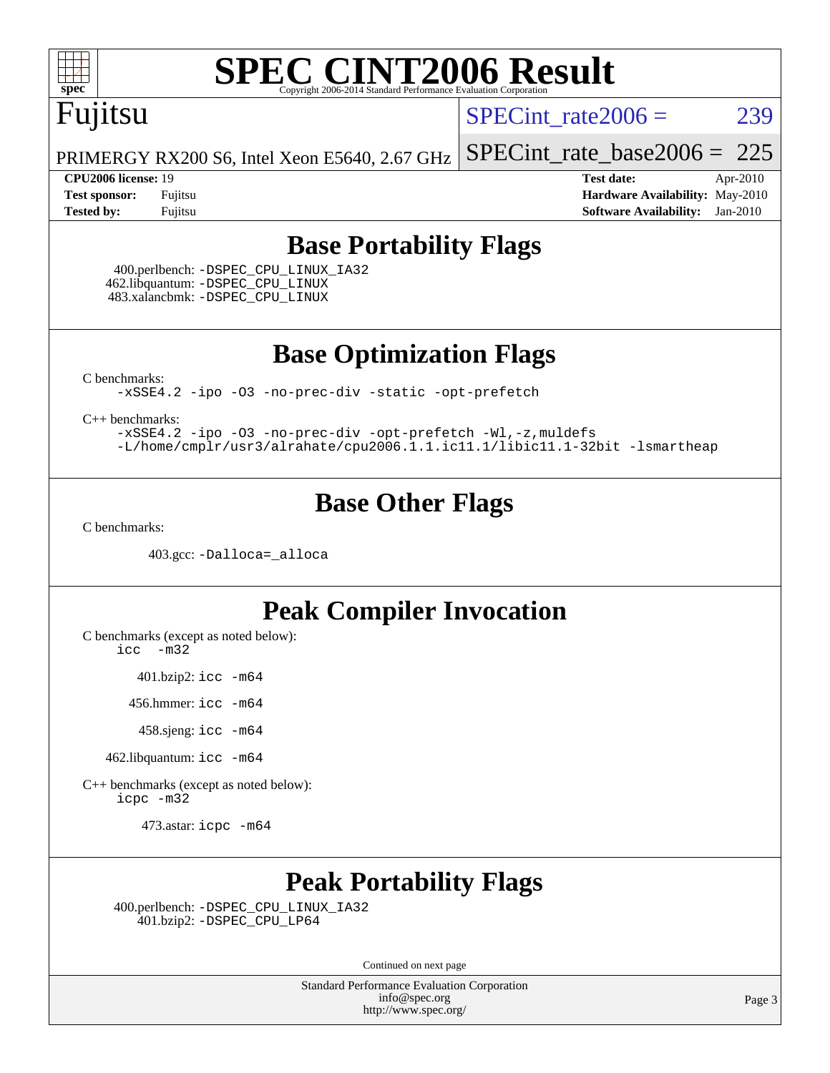

## Fujitsu

SPECint rate $2006 = 239$ 

[SPECint\\_rate\\_base2006 =](http://www.spec.org/auto/cpu2006/Docs/result-fields.html#SPECintratebase2006) 225

PRIMERGY RX200 S6, Intel Xeon E5640, 2.67 GHz

**[CPU2006 license:](http://www.spec.org/auto/cpu2006/Docs/result-fields.html#CPU2006license)** 19 **[Test date:](http://www.spec.org/auto/cpu2006/Docs/result-fields.html#Testdate)** Apr-2010 **[Test sponsor:](http://www.spec.org/auto/cpu2006/Docs/result-fields.html#Testsponsor)** Fujitsu **[Hardware Availability:](http://www.spec.org/auto/cpu2006/Docs/result-fields.html#HardwareAvailability)** May-2010 **[Tested by:](http://www.spec.org/auto/cpu2006/Docs/result-fields.html#Testedby)** Fujitsu **[Software Availability:](http://www.spec.org/auto/cpu2006/Docs/result-fields.html#SoftwareAvailability)** Jan-2010

#### **[Base Portability Flags](http://www.spec.org/auto/cpu2006/Docs/result-fields.html#BasePortabilityFlags)**

 400.perlbench: [-DSPEC\\_CPU\\_LINUX\\_IA32](http://www.spec.org/cpu2006/results/res2010q3/cpu2006-20100706-12342.flags.html#b400.perlbench_baseCPORTABILITY_DSPEC_CPU_LINUX_IA32) 462.libquantum: [-DSPEC\\_CPU\\_LINUX](http://www.spec.org/cpu2006/results/res2010q3/cpu2006-20100706-12342.flags.html#b462.libquantum_baseCPORTABILITY_DSPEC_CPU_LINUX) 483.xalancbmk: [-DSPEC\\_CPU\\_LINUX](http://www.spec.org/cpu2006/results/res2010q3/cpu2006-20100706-12342.flags.html#b483.xalancbmk_baseCXXPORTABILITY_DSPEC_CPU_LINUX)

**[Base Optimization Flags](http://www.spec.org/auto/cpu2006/Docs/result-fields.html#BaseOptimizationFlags)**

[C benchmarks](http://www.spec.org/auto/cpu2006/Docs/result-fields.html#Cbenchmarks):

[-xSSE4.2](http://www.spec.org/cpu2006/results/res2010q3/cpu2006-20100706-12342.flags.html#user_CCbase_f-xSSE42_f91528193cf0b216347adb8b939d4107) [-ipo](http://www.spec.org/cpu2006/results/res2010q3/cpu2006-20100706-12342.flags.html#user_CCbase_f-ipo) [-O3](http://www.spec.org/cpu2006/results/res2010q3/cpu2006-20100706-12342.flags.html#user_CCbase_f-O3) [-no-prec-div](http://www.spec.org/cpu2006/results/res2010q3/cpu2006-20100706-12342.flags.html#user_CCbase_f-no-prec-div) [-static](http://www.spec.org/cpu2006/results/res2010q3/cpu2006-20100706-12342.flags.html#user_CCbase_f-static) [-opt-prefetch](http://www.spec.org/cpu2006/results/res2010q3/cpu2006-20100706-12342.flags.html#user_CCbase_f-opt-prefetch)

[C++ benchmarks:](http://www.spec.org/auto/cpu2006/Docs/result-fields.html#CXXbenchmarks)

[-xSSE4.2](http://www.spec.org/cpu2006/results/res2010q3/cpu2006-20100706-12342.flags.html#user_CXXbase_f-xSSE42_f91528193cf0b216347adb8b939d4107) [-ipo](http://www.spec.org/cpu2006/results/res2010q3/cpu2006-20100706-12342.flags.html#user_CXXbase_f-ipo) [-O3](http://www.spec.org/cpu2006/results/res2010q3/cpu2006-20100706-12342.flags.html#user_CXXbase_f-O3) [-no-prec-div](http://www.spec.org/cpu2006/results/res2010q3/cpu2006-20100706-12342.flags.html#user_CXXbase_f-no-prec-div) [-opt-prefetch](http://www.spec.org/cpu2006/results/res2010q3/cpu2006-20100706-12342.flags.html#user_CXXbase_f-opt-prefetch) [-Wl,-z,muldefs](http://www.spec.org/cpu2006/results/res2010q3/cpu2006-20100706-12342.flags.html#user_CXXbase_link_force_multiple1_74079c344b956b9658436fd1b6dd3a8a) [-L/home/cmplr/usr3/alrahate/cpu2006.1.1.ic11.1/libic11.1-32bit -lsmartheap](http://www.spec.org/cpu2006/results/res2010q3/cpu2006-20100706-12342.flags.html#user_CXXbase_SmartHeap_d86dffe4a79b79ef8890d5cce17030c3)

#### **[Base Other Flags](http://www.spec.org/auto/cpu2006/Docs/result-fields.html#BaseOtherFlags)**

[C benchmarks](http://www.spec.org/auto/cpu2006/Docs/result-fields.html#Cbenchmarks):

403.gcc: [-Dalloca=\\_alloca](http://www.spec.org/cpu2006/results/res2010q3/cpu2006-20100706-12342.flags.html#b403.gcc_baseEXTRA_CFLAGS_Dalloca_be3056838c12de2578596ca5467af7f3)

#### **[Peak Compiler Invocation](http://www.spec.org/auto/cpu2006/Docs/result-fields.html#PeakCompilerInvocation)**

[C benchmarks \(except as noted below\)](http://www.spec.org/auto/cpu2006/Docs/result-fields.html#Cbenchmarksexceptasnotedbelow):

[icc -m32](http://www.spec.org/cpu2006/results/res2010q3/cpu2006-20100706-12342.flags.html#user_CCpeak_intel_icc_32bit_5ff4a39e364c98233615fdd38438c6f2)

401.bzip2: [icc -m64](http://www.spec.org/cpu2006/results/res2010q3/cpu2006-20100706-12342.flags.html#user_peakCCLD401_bzip2_intel_icc_64bit_bda6cc9af1fdbb0edc3795bac97ada53)

456.hmmer: [icc -m64](http://www.spec.org/cpu2006/results/res2010q3/cpu2006-20100706-12342.flags.html#user_peakCCLD456_hmmer_intel_icc_64bit_bda6cc9af1fdbb0edc3795bac97ada53)

458.sjeng: [icc -m64](http://www.spec.org/cpu2006/results/res2010q3/cpu2006-20100706-12342.flags.html#user_peakCCLD458_sjeng_intel_icc_64bit_bda6cc9af1fdbb0edc3795bac97ada53)

462.libquantum: [icc -m64](http://www.spec.org/cpu2006/results/res2010q3/cpu2006-20100706-12342.flags.html#user_peakCCLD462_libquantum_intel_icc_64bit_bda6cc9af1fdbb0edc3795bac97ada53)

[C++ benchmarks \(except as noted below\):](http://www.spec.org/auto/cpu2006/Docs/result-fields.html#CXXbenchmarksexceptasnotedbelow) [icpc -m32](http://www.spec.org/cpu2006/results/res2010q3/cpu2006-20100706-12342.flags.html#user_CXXpeak_intel_icpc_32bit_4e5a5ef1a53fd332b3c49e69c3330699)

473.astar: [icpc -m64](http://www.spec.org/cpu2006/results/res2010q3/cpu2006-20100706-12342.flags.html#user_peakCXXLD473_astar_intel_icpc_64bit_fc66a5337ce925472a5c54ad6a0de310)

#### **[Peak Portability Flags](http://www.spec.org/auto/cpu2006/Docs/result-fields.html#PeakPortabilityFlags)**

 400.perlbench: [-DSPEC\\_CPU\\_LINUX\\_IA32](http://www.spec.org/cpu2006/results/res2010q3/cpu2006-20100706-12342.flags.html#b400.perlbench_peakCPORTABILITY_DSPEC_CPU_LINUX_IA32) 401.bzip2: [-DSPEC\\_CPU\\_LP64](http://www.spec.org/cpu2006/results/res2010q3/cpu2006-20100706-12342.flags.html#suite_peakCPORTABILITY401_bzip2_DSPEC_CPU_LP64)

Continued on next page

Standard Performance Evaluation Corporation [info@spec.org](mailto:info@spec.org) <http://www.spec.org/>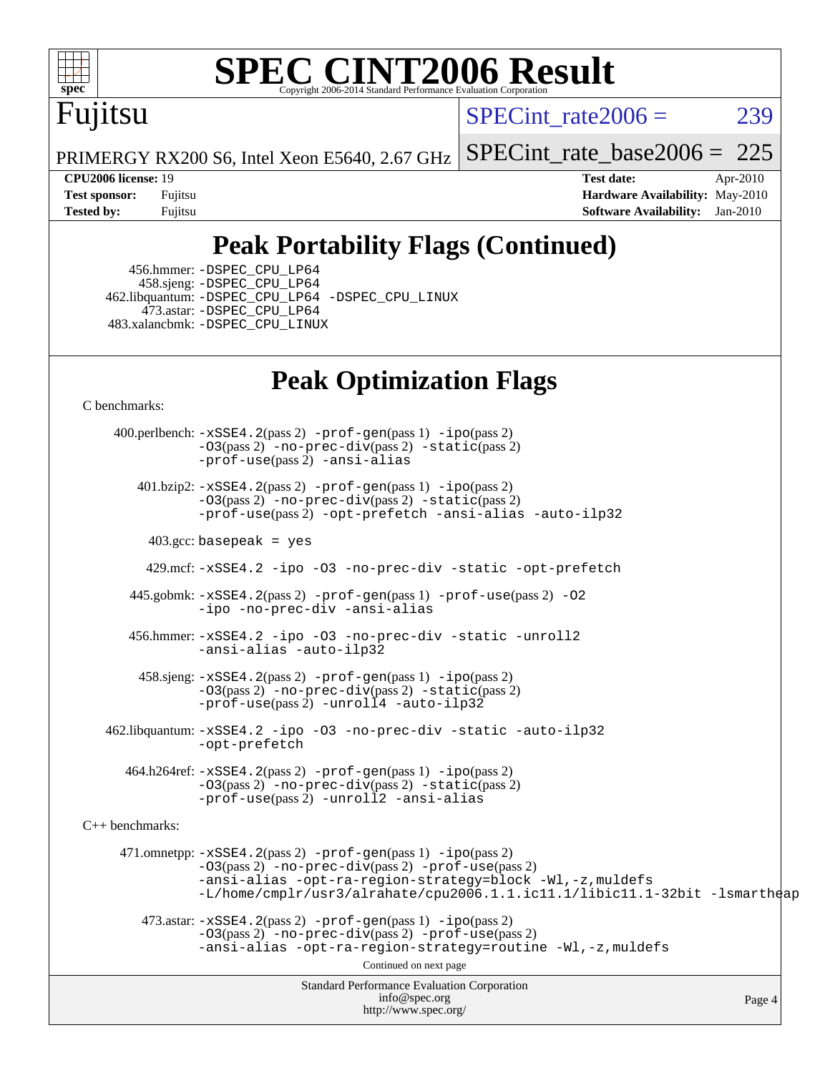

## Fujitsu

SPECint rate $2006 = 239$ 

PRIMERGY RX200 S6, Intel Xeon E5640, 2.67 GHz

[SPECint\\_rate\\_base2006 =](http://www.spec.org/auto/cpu2006/Docs/result-fields.html#SPECintratebase2006)  $225$ 

**[CPU2006 license:](http://www.spec.org/auto/cpu2006/Docs/result-fields.html#CPU2006license)** 19 **[Test date:](http://www.spec.org/auto/cpu2006/Docs/result-fields.html#Testdate)** Apr-2010 **[Test sponsor:](http://www.spec.org/auto/cpu2006/Docs/result-fields.html#Testsponsor)** Fujitsu **[Hardware Availability:](http://www.spec.org/auto/cpu2006/Docs/result-fields.html#HardwareAvailability)** May-2010 **[Tested by:](http://www.spec.org/auto/cpu2006/Docs/result-fields.html#Testedby)** Fujitsu **[Software Availability:](http://www.spec.org/auto/cpu2006/Docs/result-fields.html#SoftwareAvailability)** Jan-2010

## **[Peak Portability Flags \(Continued\)](http://www.spec.org/auto/cpu2006/Docs/result-fields.html#PeakPortabilityFlags)**

 456.hmmer: [-DSPEC\\_CPU\\_LP64](http://www.spec.org/cpu2006/results/res2010q3/cpu2006-20100706-12342.flags.html#suite_peakCPORTABILITY456_hmmer_DSPEC_CPU_LP64) 458.sjeng: [-DSPEC\\_CPU\\_LP64](http://www.spec.org/cpu2006/results/res2010q3/cpu2006-20100706-12342.flags.html#suite_peakCPORTABILITY458_sjeng_DSPEC_CPU_LP64) 462.libquantum: [-DSPEC\\_CPU\\_LP64](http://www.spec.org/cpu2006/results/res2010q3/cpu2006-20100706-12342.flags.html#suite_peakCPORTABILITY462_libquantum_DSPEC_CPU_LP64) [-DSPEC\\_CPU\\_LINUX](http://www.spec.org/cpu2006/results/res2010q3/cpu2006-20100706-12342.flags.html#b462.libquantum_peakCPORTABILITY_DSPEC_CPU_LINUX) 473.astar: [-DSPEC\\_CPU\\_LP64](http://www.spec.org/cpu2006/results/res2010q3/cpu2006-20100706-12342.flags.html#suite_peakCXXPORTABILITY473_astar_DSPEC_CPU_LP64) 483.xalancbmk: [-DSPEC\\_CPU\\_LINUX](http://www.spec.org/cpu2006/results/res2010q3/cpu2006-20100706-12342.flags.html#b483.xalancbmk_peakCXXPORTABILITY_DSPEC_CPU_LINUX)

### **[Peak Optimization Flags](http://www.spec.org/auto/cpu2006/Docs/result-fields.html#PeakOptimizationFlags)**

[C benchmarks](http://www.spec.org/auto/cpu2006/Docs/result-fields.html#Cbenchmarks):

Standard Performance Evaluation Corporation [info@spec.org](mailto:info@spec.org) <http://www.spec.org/> Page 4 400.perlbench: [-xSSE4.2](http://www.spec.org/cpu2006/results/res2010q3/cpu2006-20100706-12342.flags.html#user_peakPASS2_CFLAGSPASS2_LDCFLAGS400_perlbench_f-xSSE42_f91528193cf0b216347adb8b939d4107)(pass 2) [-prof-gen](http://www.spec.org/cpu2006/results/res2010q3/cpu2006-20100706-12342.flags.html#user_peakPASS1_CFLAGSPASS1_LDCFLAGS400_perlbench_prof_gen_e43856698f6ca7b7e442dfd80e94a8fc)(pass 1) [-ipo](http://www.spec.org/cpu2006/results/res2010q3/cpu2006-20100706-12342.flags.html#user_peakPASS2_CFLAGSPASS2_LDCFLAGS400_perlbench_f-ipo)(pass 2)  $-03$ (pass 2)  $-$ no-prec-div(pass 2)  $-$ static(pass 2) [-prof-use](http://www.spec.org/cpu2006/results/res2010q3/cpu2006-20100706-12342.flags.html#user_peakPASS2_CFLAGSPASS2_LDCFLAGS400_perlbench_prof_use_bccf7792157ff70d64e32fe3e1250b55)(pass 2) [-ansi-alias](http://www.spec.org/cpu2006/results/res2010q3/cpu2006-20100706-12342.flags.html#user_peakCOPTIMIZE400_perlbench_f-ansi-alias) 401.bzip2: [-xSSE4.2](http://www.spec.org/cpu2006/results/res2010q3/cpu2006-20100706-12342.flags.html#user_peakPASS2_CFLAGSPASS2_LDCFLAGS401_bzip2_f-xSSE42_f91528193cf0b216347adb8b939d4107)(pass 2) [-prof-gen](http://www.spec.org/cpu2006/results/res2010q3/cpu2006-20100706-12342.flags.html#user_peakPASS1_CFLAGSPASS1_LDCFLAGS401_bzip2_prof_gen_e43856698f6ca7b7e442dfd80e94a8fc)(pass 1) [-ipo](http://www.spec.org/cpu2006/results/res2010q3/cpu2006-20100706-12342.flags.html#user_peakPASS2_CFLAGSPASS2_LDCFLAGS401_bzip2_f-ipo)(pass 2) [-O3](http://www.spec.org/cpu2006/results/res2010q3/cpu2006-20100706-12342.flags.html#user_peakPASS2_CFLAGSPASS2_LDCFLAGS401_bzip2_f-O3)(pass 2) [-no-prec-div](http://www.spec.org/cpu2006/results/res2010q3/cpu2006-20100706-12342.flags.html#user_peakPASS2_CFLAGSPASS2_LDCFLAGS401_bzip2_f-no-prec-div)(pass 2) [-static](http://www.spec.org/cpu2006/results/res2010q3/cpu2006-20100706-12342.flags.html#user_peakPASS2_CFLAGSPASS2_LDCFLAGS401_bzip2_f-static)(pass 2) [-prof-use](http://www.spec.org/cpu2006/results/res2010q3/cpu2006-20100706-12342.flags.html#user_peakPASS2_CFLAGSPASS2_LDCFLAGS401_bzip2_prof_use_bccf7792157ff70d64e32fe3e1250b55)(pass 2) [-opt-prefetch](http://www.spec.org/cpu2006/results/res2010q3/cpu2006-20100706-12342.flags.html#user_peakCOPTIMIZE401_bzip2_f-opt-prefetch) [-ansi-alias](http://www.spec.org/cpu2006/results/res2010q3/cpu2006-20100706-12342.flags.html#user_peakCOPTIMIZE401_bzip2_f-ansi-alias) [-auto-ilp32](http://www.spec.org/cpu2006/results/res2010q3/cpu2006-20100706-12342.flags.html#user_peakCOPTIMIZE401_bzip2_f-auto-ilp32)  $403.\text{gcc: basepeak}$  = yes 429.mcf: [-xSSE4.2](http://www.spec.org/cpu2006/results/res2010q3/cpu2006-20100706-12342.flags.html#user_peakCOPTIMIZE429_mcf_f-xSSE42_f91528193cf0b216347adb8b939d4107) [-ipo](http://www.spec.org/cpu2006/results/res2010q3/cpu2006-20100706-12342.flags.html#user_peakCOPTIMIZE429_mcf_f-ipo) [-O3](http://www.spec.org/cpu2006/results/res2010q3/cpu2006-20100706-12342.flags.html#user_peakCOPTIMIZE429_mcf_f-O3) [-no-prec-div](http://www.spec.org/cpu2006/results/res2010q3/cpu2006-20100706-12342.flags.html#user_peakCOPTIMIZE429_mcf_f-no-prec-div) [-static](http://www.spec.org/cpu2006/results/res2010q3/cpu2006-20100706-12342.flags.html#user_peakCOPTIMIZE429_mcf_f-static) [-opt-prefetch](http://www.spec.org/cpu2006/results/res2010q3/cpu2006-20100706-12342.flags.html#user_peakCOPTIMIZE429_mcf_f-opt-prefetch) 445.gobmk: [-xSSE4.2](http://www.spec.org/cpu2006/results/res2010q3/cpu2006-20100706-12342.flags.html#user_peakPASS2_CFLAGSPASS2_LDCFLAGS445_gobmk_f-xSSE42_f91528193cf0b216347adb8b939d4107)(pass 2) [-prof-gen](http://www.spec.org/cpu2006/results/res2010q3/cpu2006-20100706-12342.flags.html#user_peakPASS1_CFLAGSPASS1_LDCFLAGS445_gobmk_prof_gen_e43856698f6ca7b7e442dfd80e94a8fc)(pass 1) [-prof-use](http://www.spec.org/cpu2006/results/res2010q3/cpu2006-20100706-12342.flags.html#user_peakPASS2_CFLAGSPASS2_LDCFLAGS445_gobmk_prof_use_bccf7792157ff70d64e32fe3e1250b55)(pass 2) [-O2](http://www.spec.org/cpu2006/results/res2010q3/cpu2006-20100706-12342.flags.html#user_peakCOPTIMIZE445_gobmk_f-O2) [-ipo](http://www.spec.org/cpu2006/results/res2010q3/cpu2006-20100706-12342.flags.html#user_peakCOPTIMIZE445_gobmk_f-ipo) [-no-prec-div](http://www.spec.org/cpu2006/results/res2010q3/cpu2006-20100706-12342.flags.html#user_peakCOPTIMIZE445_gobmk_f-no-prec-div) [-ansi-alias](http://www.spec.org/cpu2006/results/res2010q3/cpu2006-20100706-12342.flags.html#user_peakCOPTIMIZE445_gobmk_f-ansi-alias) 456.hmmer: [-xSSE4.2](http://www.spec.org/cpu2006/results/res2010q3/cpu2006-20100706-12342.flags.html#user_peakCOPTIMIZE456_hmmer_f-xSSE42_f91528193cf0b216347adb8b939d4107) [-ipo](http://www.spec.org/cpu2006/results/res2010q3/cpu2006-20100706-12342.flags.html#user_peakCOPTIMIZE456_hmmer_f-ipo) [-O3](http://www.spec.org/cpu2006/results/res2010q3/cpu2006-20100706-12342.flags.html#user_peakCOPTIMIZE456_hmmer_f-O3) [-no-prec-div](http://www.spec.org/cpu2006/results/res2010q3/cpu2006-20100706-12342.flags.html#user_peakCOPTIMIZE456_hmmer_f-no-prec-div) [-static](http://www.spec.org/cpu2006/results/res2010q3/cpu2006-20100706-12342.flags.html#user_peakCOPTIMIZE456_hmmer_f-static) [-unroll2](http://www.spec.org/cpu2006/results/res2010q3/cpu2006-20100706-12342.flags.html#user_peakCOPTIMIZE456_hmmer_f-unroll_784dae83bebfb236979b41d2422d7ec2) [-ansi-alias](http://www.spec.org/cpu2006/results/res2010q3/cpu2006-20100706-12342.flags.html#user_peakCOPTIMIZE456_hmmer_f-ansi-alias) [-auto-ilp32](http://www.spec.org/cpu2006/results/res2010q3/cpu2006-20100706-12342.flags.html#user_peakCOPTIMIZE456_hmmer_f-auto-ilp32) 458.sjeng: [-xSSE4.2](http://www.spec.org/cpu2006/results/res2010q3/cpu2006-20100706-12342.flags.html#user_peakPASS2_CFLAGSPASS2_LDCFLAGS458_sjeng_f-xSSE42_f91528193cf0b216347adb8b939d4107)(pass 2) [-prof-gen](http://www.spec.org/cpu2006/results/res2010q3/cpu2006-20100706-12342.flags.html#user_peakPASS1_CFLAGSPASS1_LDCFLAGS458_sjeng_prof_gen_e43856698f6ca7b7e442dfd80e94a8fc)(pass 1) [-ipo](http://www.spec.org/cpu2006/results/res2010q3/cpu2006-20100706-12342.flags.html#user_peakPASS2_CFLAGSPASS2_LDCFLAGS458_sjeng_f-ipo)(pass 2) [-O3](http://www.spec.org/cpu2006/results/res2010q3/cpu2006-20100706-12342.flags.html#user_peakPASS2_CFLAGSPASS2_LDCFLAGS458_sjeng_f-O3)(pass 2) [-no-prec-div](http://www.spec.org/cpu2006/results/res2010q3/cpu2006-20100706-12342.flags.html#user_peakPASS2_CFLAGSPASS2_LDCFLAGS458_sjeng_f-no-prec-div)(pass 2) [-static](http://www.spec.org/cpu2006/results/res2010q3/cpu2006-20100706-12342.flags.html#user_peakPASS2_CFLAGSPASS2_LDCFLAGS458_sjeng_f-static)(pass 2) [-prof-use](http://www.spec.org/cpu2006/results/res2010q3/cpu2006-20100706-12342.flags.html#user_peakPASS2_CFLAGSPASS2_LDCFLAGS458_sjeng_prof_use_bccf7792157ff70d64e32fe3e1250b55)(pass 2) [-unroll4](http://www.spec.org/cpu2006/results/res2010q3/cpu2006-20100706-12342.flags.html#user_peakCOPTIMIZE458_sjeng_f-unroll_4e5e4ed65b7fd20bdcd365bec371b81f) [-auto-ilp32](http://www.spec.org/cpu2006/results/res2010q3/cpu2006-20100706-12342.flags.html#user_peakCOPTIMIZE458_sjeng_f-auto-ilp32) 462.libquantum: [-xSSE4.2](http://www.spec.org/cpu2006/results/res2010q3/cpu2006-20100706-12342.flags.html#user_peakCOPTIMIZE462_libquantum_f-xSSE42_f91528193cf0b216347adb8b939d4107) [-ipo](http://www.spec.org/cpu2006/results/res2010q3/cpu2006-20100706-12342.flags.html#user_peakCOPTIMIZE462_libquantum_f-ipo) [-O3](http://www.spec.org/cpu2006/results/res2010q3/cpu2006-20100706-12342.flags.html#user_peakCOPTIMIZE462_libquantum_f-O3) [-no-prec-div](http://www.spec.org/cpu2006/results/res2010q3/cpu2006-20100706-12342.flags.html#user_peakCOPTIMIZE462_libquantum_f-no-prec-div) [-static](http://www.spec.org/cpu2006/results/res2010q3/cpu2006-20100706-12342.flags.html#user_peakCOPTIMIZE462_libquantum_f-static) [-auto-ilp32](http://www.spec.org/cpu2006/results/res2010q3/cpu2006-20100706-12342.flags.html#user_peakCOPTIMIZE462_libquantum_f-auto-ilp32) [-opt-prefetch](http://www.spec.org/cpu2006/results/res2010q3/cpu2006-20100706-12342.flags.html#user_peakCOPTIMIZE462_libquantum_f-opt-prefetch) 464.h264ref: [-xSSE4.2](http://www.spec.org/cpu2006/results/res2010q3/cpu2006-20100706-12342.flags.html#user_peakPASS2_CFLAGSPASS2_LDCFLAGS464_h264ref_f-xSSE42_f91528193cf0b216347adb8b939d4107)(pass 2) [-prof-gen](http://www.spec.org/cpu2006/results/res2010q3/cpu2006-20100706-12342.flags.html#user_peakPASS1_CFLAGSPASS1_LDCFLAGS464_h264ref_prof_gen_e43856698f6ca7b7e442dfd80e94a8fc)(pass 1) [-ipo](http://www.spec.org/cpu2006/results/res2010q3/cpu2006-20100706-12342.flags.html#user_peakPASS2_CFLAGSPASS2_LDCFLAGS464_h264ref_f-ipo)(pass 2) [-O3](http://www.spec.org/cpu2006/results/res2010q3/cpu2006-20100706-12342.flags.html#user_peakPASS2_CFLAGSPASS2_LDCFLAGS464_h264ref_f-O3)(pass 2) [-no-prec-div](http://www.spec.org/cpu2006/results/res2010q3/cpu2006-20100706-12342.flags.html#user_peakPASS2_CFLAGSPASS2_LDCFLAGS464_h264ref_f-no-prec-div)(pass 2) [-static](http://www.spec.org/cpu2006/results/res2010q3/cpu2006-20100706-12342.flags.html#user_peakPASS2_CFLAGSPASS2_LDCFLAGS464_h264ref_f-static)(pass 2) [-prof-use](http://www.spec.org/cpu2006/results/res2010q3/cpu2006-20100706-12342.flags.html#user_peakPASS2_CFLAGSPASS2_LDCFLAGS464_h264ref_prof_use_bccf7792157ff70d64e32fe3e1250b55)(pass 2) [-unroll2](http://www.spec.org/cpu2006/results/res2010q3/cpu2006-20100706-12342.flags.html#user_peakCOPTIMIZE464_h264ref_f-unroll_784dae83bebfb236979b41d2422d7ec2) [-ansi-alias](http://www.spec.org/cpu2006/results/res2010q3/cpu2006-20100706-12342.flags.html#user_peakCOPTIMIZE464_h264ref_f-ansi-alias) [C++ benchmarks:](http://www.spec.org/auto/cpu2006/Docs/result-fields.html#CXXbenchmarks) 471.omnetpp: [-xSSE4.2](http://www.spec.org/cpu2006/results/res2010q3/cpu2006-20100706-12342.flags.html#user_peakPASS2_CXXFLAGSPASS2_LDCXXFLAGS471_omnetpp_f-xSSE42_f91528193cf0b216347adb8b939d4107)(pass 2) [-prof-gen](http://www.spec.org/cpu2006/results/res2010q3/cpu2006-20100706-12342.flags.html#user_peakPASS1_CXXFLAGSPASS1_LDCXXFLAGS471_omnetpp_prof_gen_e43856698f6ca7b7e442dfd80e94a8fc)(pass 1) [-ipo](http://www.spec.org/cpu2006/results/res2010q3/cpu2006-20100706-12342.flags.html#user_peakPASS2_CXXFLAGSPASS2_LDCXXFLAGS471_omnetpp_f-ipo)(pass 2) [-O3](http://www.spec.org/cpu2006/results/res2010q3/cpu2006-20100706-12342.flags.html#user_peakPASS2_CXXFLAGSPASS2_LDCXXFLAGS471_omnetpp_f-O3)(pass 2) [-no-prec-div](http://www.spec.org/cpu2006/results/res2010q3/cpu2006-20100706-12342.flags.html#user_peakPASS2_CXXFLAGSPASS2_LDCXXFLAGS471_omnetpp_f-no-prec-div)(pass 2) [-prof-use](http://www.spec.org/cpu2006/results/res2010q3/cpu2006-20100706-12342.flags.html#user_peakPASS2_CXXFLAGSPASS2_LDCXXFLAGS471_omnetpp_prof_use_bccf7792157ff70d64e32fe3e1250b55)(pass 2) [-ansi-alias](http://www.spec.org/cpu2006/results/res2010q3/cpu2006-20100706-12342.flags.html#user_peakCXXOPTIMIZE471_omnetpp_f-ansi-alias) [-opt-ra-region-strategy=block](http://www.spec.org/cpu2006/results/res2010q3/cpu2006-20100706-12342.flags.html#user_peakCXXOPTIMIZE471_omnetpp_f-opt-ra-region-strategy-block_a0a37c372d03933b2a18d4af463c1f69) [-Wl,-z,muldefs](http://www.spec.org/cpu2006/results/res2010q3/cpu2006-20100706-12342.flags.html#user_peakEXTRA_LDFLAGS471_omnetpp_link_force_multiple1_74079c344b956b9658436fd1b6dd3a8a) [-L/home/cmplr/usr3/alrahate/cpu2006.1.1.ic11.1/libic11.1-32bit -lsmartheap](http://www.spec.org/cpu2006/results/res2010q3/cpu2006-20100706-12342.flags.html#user_peakEXTRA_LIBS471_omnetpp_SmartHeap_d86dffe4a79b79ef8890d5cce17030c3)  $473.\text{astar: } -xSSE4$ .  $2(\text{pass 2})$   $-\text{prof-gen}(\text{pass 1})$   $-i\text{po}(\text{pass 2})$ [-O3](http://www.spec.org/cpu2006/results/res2010q3/cpu2006-20100706-12342.flags.html#user_peakPASS2_CXXFLAGSPASS2_LDCXXFLAGS473_astar_f-O3)(pass 2) [-no-prec-div](http://www.spec.org/cpu2006/results/res2010q3/cpu2006-20100706-12342.flags.html#user_peakPASS2_CXXFLAGSPASS2_LDCXXFLAGS473_astar_f-no-prec-div)(pass 2) [-prof-use](http://www.spec.org/cpu2006/results/res2010q3/cpu2006-20100706-12342.flags.html#user_peakPASS2_CXXFLAGSPASS2_LDCXXFLAGS473_astar_prof_use_bccf7792157ff70d64e32fe3e1250b55)(pass 2) [-ansi-alias](http://www.spec.org/cpu2006/results/res2010q3/cpu2006-20100706-12342.flags.html#user_peakCXXOPTIMIZE473_astar_f-ansi-alias) [-opt-ra-region-strategy=routine](http://www.spec.org/cpu2006/results/res2010q3/cpu2006-20100706-12342.flags.html#user_peakCXXOPTIMIZE473_astar_f-opt-ra-region-strategy-routine_ba086ea3b1d46a52e1238e2ca173ed44) [-Wl,-z,muldefs](http://www.spec.org/cpu2006/results/res2010q3/cpu2006-20100706-12342.flags.html#user_peakEXTRA_LDFLAGS473_astar_link_force_multiple1_74079c344b956b9658436fd1b6dd3a8a) Continued on next page